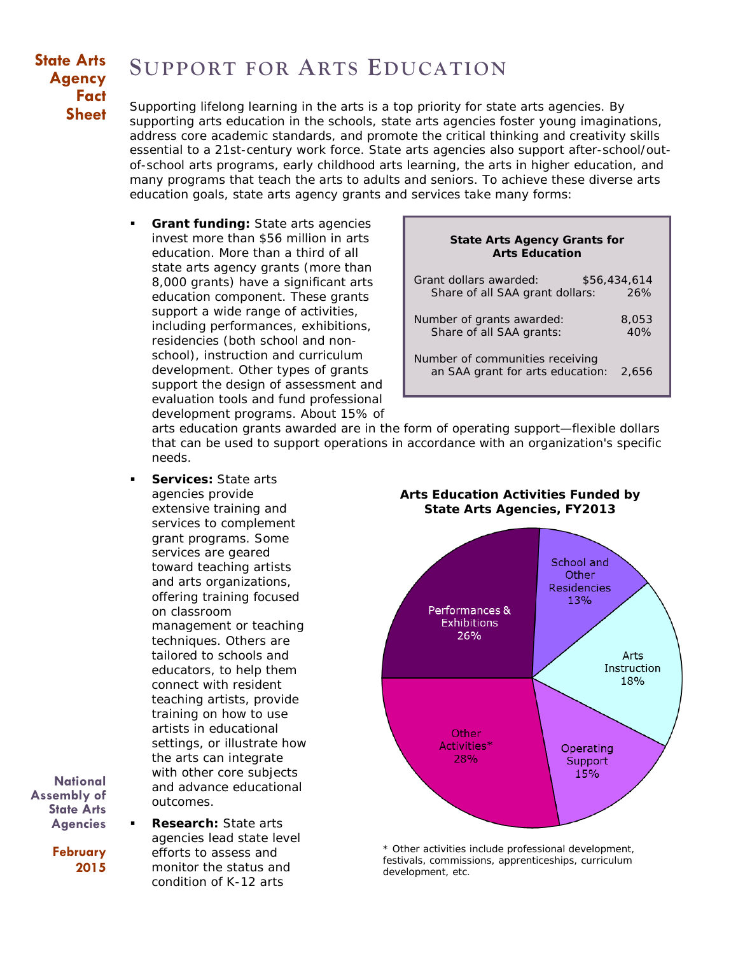## **State Arts Agency Fact Sheet**

## **SUPPORT FOR ARTS EDUCATION**

Supporting lifelong learning in the arts is a top priority for state arts agencies. By supporting arts education in the schools, state arts agencies foster young imaginations, address core academic standards, and promote the critical thinking and creativity skills essential to a 21st-century work force. State arts agencies also support after-school/outof-school arts programs, early childhood arts learning, the arts in higher education, and many programs that teach the arts to adults and seniors. To achieve these diverse arts education goals, state arts agency grants and services take many forms:

 **Grant funding:** State arts agencies invest more than \$56 million in arts education. More than a third of all state arts agency grants (more than 8,000 grants) have a significant arts education component. These grants support a wide range of activities, including performances, exhibitions, residencies (both school and nonschool), instruction and curriculum development. Other types of grants support the design of assessment and evaluation tools and fund professional development programs. About 15% of

| <b>State Arts Agency Grants for</b><br><b>Arts Education</b>        |              |
|---------------------------------------------------------------------|--------------|
| Grant dollars awarded:                                              | \$56,434,614 |
| Share of all SAA grant dollars:                                     | 26%          |
| Number of grants awarded:                                           | 8,053        |
| Share of all SAA grants:                                            | 40%          |
| Number of communities receiving<br>an SAA grant for arts education: | 2,656        |

arts education grants awarded are in the form of operating support—flexible dollars that can be used to support operations in accordance with an organization's specific needs.

 **Services:** State arts agencies provide extensive training and services to complement grant programs. Some services are geared toward teaching artists and arts organizations, offering training focused on classroom management or teaching techniques. Others are tailored to schools and educators, to help them connect with resident teaching artists, provide training on how to use artists in educational settings, or illustrate how the arts can integrate with other core subjects and advance educational outcomes.

**National Assembly of State Arts Agencies**

> **February 2015**

 **Research:** State arts agencies lead state level efforts to assess and monitor the status and condition of K-12 arts

**Arts Education Activities Funded by State Arts Agencies, FY2013**



\* Other activities include professional development, festivals, commissions, apprenticeships, curriculum development, etc.